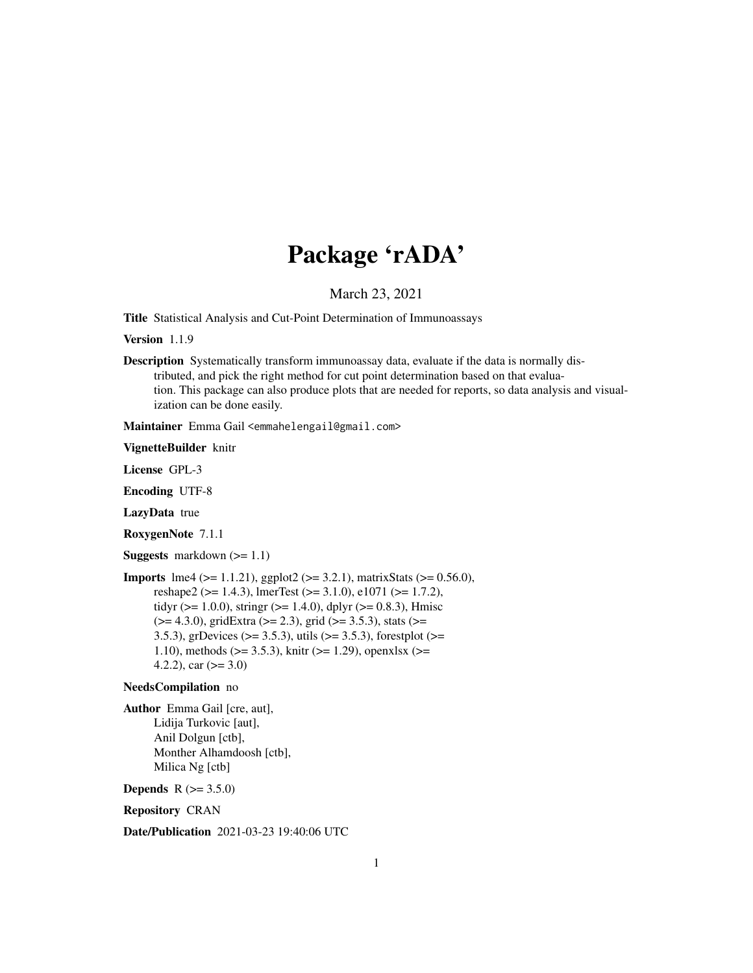# Package 'rADA'

March 23, 2021

<span id="page-0-0"></span>Title Statistical Analysis and Cut-Point Determination of Immunoassays

Version 1.1.9

Description Systematically transform immunoassay data, evaluate if the data is normally distributed, and pick the right method for cut point determination based on that evaluation. This package can also produce plots that are needed for reports, so data analysis and visualization can be done easily.

Maintainer Emma Gail <emmahelengail@gmail.com>

VignetteBuilder knitr

License GPL-3

Encoding UTF-8

LazyData true

RoxygenNote 7.1.1

**Suggests** markdown  $(>= 1.1)$ 

```
Imports lme4 (>= 1.1.21), ggplot2 (>= 3.2.1), matrixStats (>= 0.56.0),
      reshape2 (>= 1.4.3), lmerTest (>= 3.1.0), e1071 (>= 1.7.2),
      tidyr (> = 1.0.0), stringr (> = 1.4.0), dplyr (> = 0.8.3), Hmisc
      (>= 4.3.0), gridExtra (>= 2.3), grid (>= 3.5.3), stats (>=
      3.5.3), grDevices (> = 3.5.3), utils (> = 3.5.3), forestplot (> =1.10), methods (> = 3.5.3), knitr (> = 1.29), openxlsx (> =4.2.2), car (>= 3.0)
```
#### NeedsCompilation no

Author Emma Gail [cre, aut], Lidija Turkovic [aut], Anil Dolgun [ctb], Monther Alhamdoosh [ctb], Milica Ng [ctb]

**Depends**  $R (= 3.5.0)$ 

Repository CRAN

Date/Publication 2021-03-23 19:40:06 UTC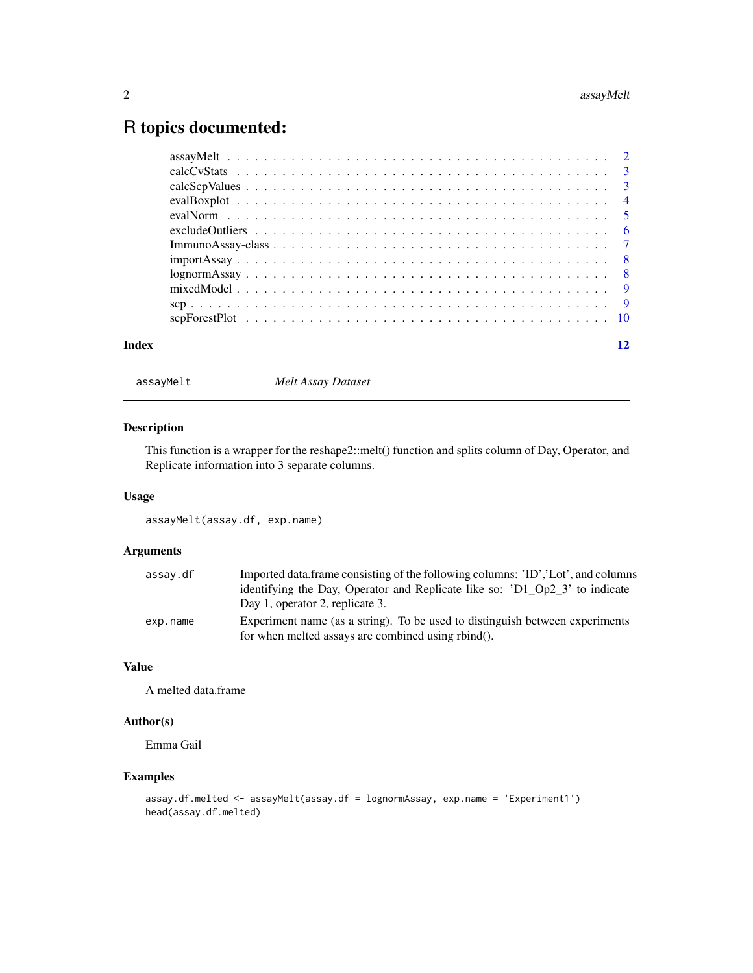## <span id="page-1-0"></span>R topics documented:

|       | $lognormAssay \dots \dots \dots \dots \dots \dots \dots \dots \dots \dots \dots \dots \dots \dots \dots \dots$ |    |
|-------|----------------------------------------------------------------------------------------------------------------|----|
|       |                                                                                                                |    |
|       |                                                                                                                |    |
|       |                                                                                                                |    |
| Index |                                                                                                                | 12 |

assayMelt *Melt Assay Dataset*

#### Description

This function is a wrapper for the reshape2::melt() function and splits column of Day, Operator, and Replicate information into 3 separate columns.

#### Usage

assayMelt(assay.df, exp.name)

#### Arguments

| assay.df | Imported data.frame consisting of the following columns: 'ID','Lot', and columns |
|----------|----------------------------------------------------------------------------------|
|          | identifying the Day, Operator and Replicate like so: 'D1 Op2 3' to indicate      |
|          | Day 1, operator 2, replicate 3.                                                  |
| exp.name | Experiment name (as a string). To be used to distinguish between experiments     |
|          | for when melted assays are combined using rbind().                               |

#### Value

A melted data.frame

#### Author(s)

Emma Gail

#### Examples

```
assay.df.melted <- assayMelt(assay.df = lognormAssay, exp.name = 'Experiment1')
head(assay.df.melted)
```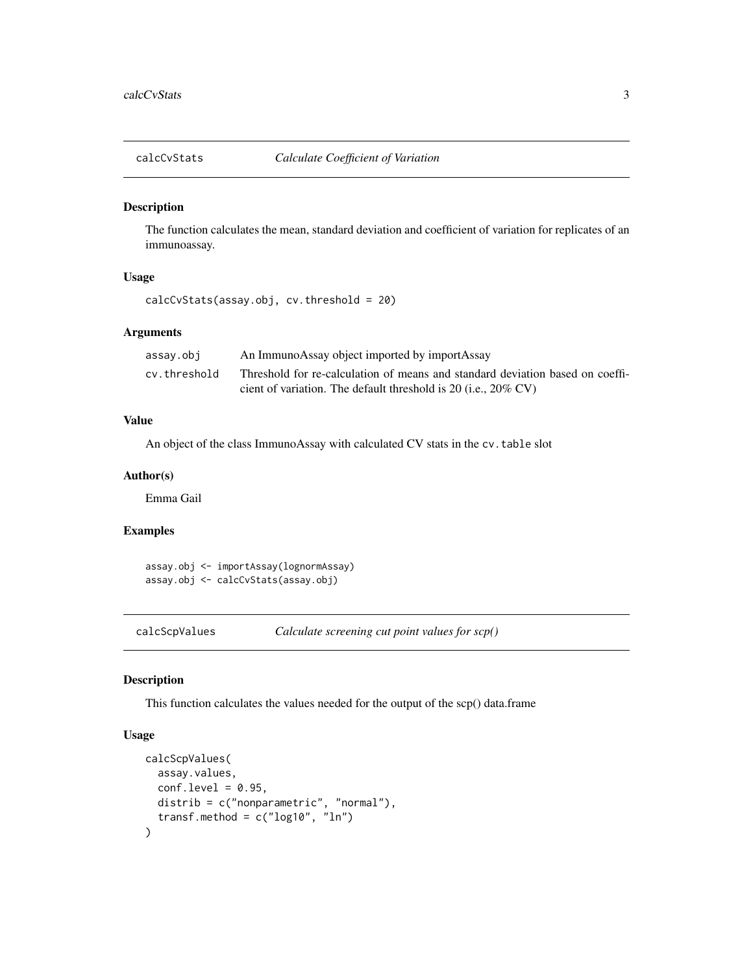<span id="page-2-0"></span>

#### Description

The function calculates the mean, standard deviation and coefficient of variation for replicates of an immunoassay.

#### Usage

```
calcCvStats(assay.obj, cv.threshold = 20)
```
#### Arguments

| assay.obj    | An ImmunoAssay object imported by importAssay                                 |
|--------------|-------------------------------------------------------------------------------|
| cv.threshold | Threshold for re-calculation of means and standard deviation based on coeffi- |
|              | cient of variation. The default threshold is 20 (i.e., $20\%$ CV)             |

#### Value

An object of the class ImmunoAssay with calculated CV stats in the cv.table slot

#### Author(s)

Emma Gail

#### Examples

assay.obj <- importAssay(lognormAssay) assay.obj <- calcCvStats(assay.obj)

calcScpValues *Calculate screening cut point values for scp()*

#### Description

This function calculates the values needed for the output of the scp() data.frame

#### Usage

```
calcScpValues(
  assay.values,
  conf. level = 0.95,
 distrib = c("nonparametric", "normal"),
  transf.method = c("log10", "ln")\mathcal{E}
```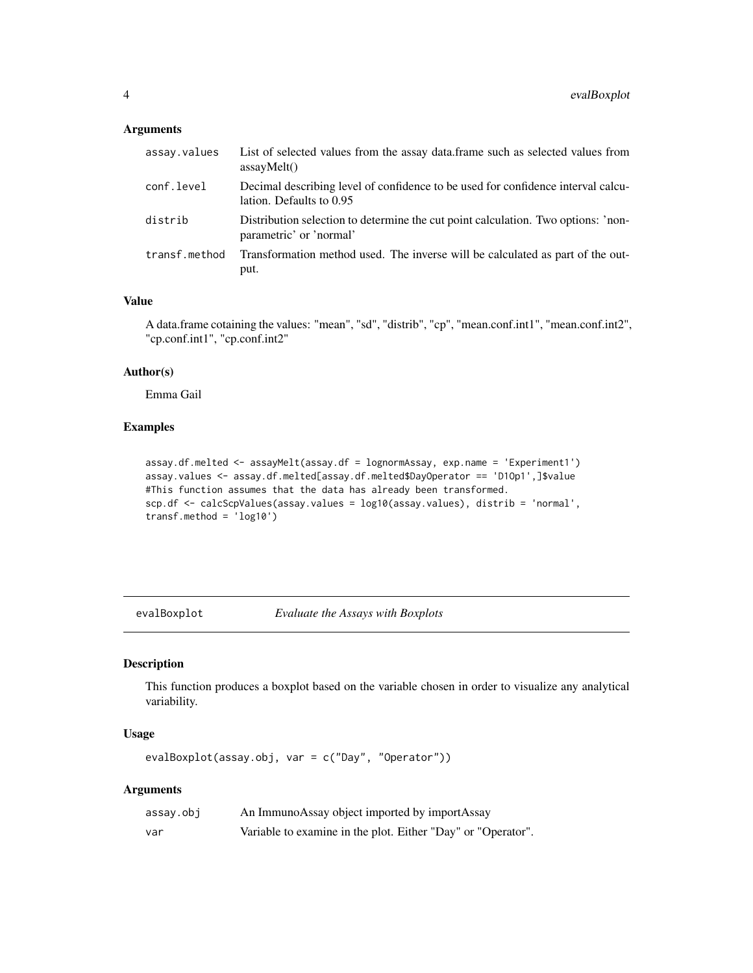#### <span id="page-3-0"></span>Arguments

| assay.values  | List of selected values from the assay data.frame such as selected values from<br>assavMelt()                |
|---------------|--------------------------------------------------------------------------------------------------------------|
| conf.level    | Decimal describing level of confidence to be used for confidence interval calcu-<br>lation. Defaults to 0.95 |
| distrib       | Distribution selection to determine the cut point calculation. Two options: 'non-<br>parametric' or 'normal' |
| transf.method | Transformation method used. The inverse will be calculated as part of the out-<br>put.                       |

#### Value

A data.frame cotaining the values: "mean", "sd", "distrib", "cp", "mean.conf.int1", "mean.conf.int2", "cp.conf.int1", "cp.conf.int2"

#### Author(s)

Emma Gail

## Examples

```
assay.df.melted <- assayMelt(assay.df = lognormAssay, exp.name = 'Experiment1')
assay.values <- assay.df.melted[assay.df.melted$DayOperator == 'D1Op1',]$value
#This function assumes that the data has already been transformed.
scp.df <- calcScpValues(assay.values = log10(assay.values), distrib = 'normal',
transf.method = 'log10')
```
evalBoxplot *Evaluate the Assays with Boxplots*

#### Description

This function produces a boxplot based on the variable chosen in order to visualize any analytical variability.

#### Usage

evalBoxplot(assay.obj, var = c("Day", "Operator"))

#### Arguments

| assay.obj | An ImmunoAssay object imported by importAssay                |
|-----------|--------------------------------------------------------------|
| var       | Variable to examine in the plot. Either "Day" or "Operator". |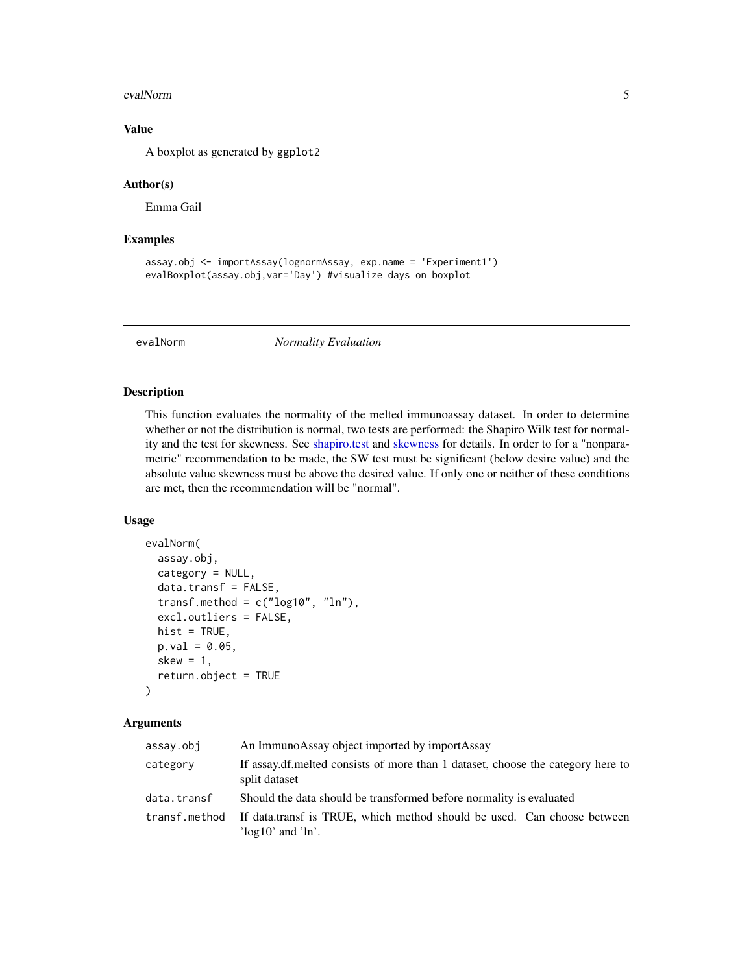#### <span id="page-4-0"></span>evalNorm 5

#### Value

A boxplot as generated by ggplot2

#### Author(s)

Emma Gail

#### Examples

```
assay.obj <- importAssay(lognormAssay, exp.name = 'Experiment1')
evalBoxplot(assay.obj,var='Day') #visualize days on boxplot
```
evalNorm *Normality Evaluation*

#### Description

This function evaluates the normality of the melted immunoassay dataset. In order to determine whether or not the distribution is normal, two tests are performed: the Shapiro Wilk test for normality and the test for skewness. See [shapiro.test](#page-0-0) and [skewness](#page-0-0) for details. In order to for a "nonparametric" recommendation to be made, the SW test must be significant (below desire value) and the absolute value skewness must be above the desired value. If only one or neither of these conditions are met, then the recommendation will be "normal".

#### Usage

```
evalNorm(
  assay.obj,
  category = NULL,
  data.transf = FALSE,
  transf.method = c("log10", "ln"),
  excl.outliers = FALSE,
 hist = TRUE,
 p.val = 0.05,
  skew = 1,
  return.object = TRUE
)
```
#### Arguments

| assay.obj     | An ImmunoAssay object imported by importAssay                                                        |
|---------------|------------------------------------------------------------------------------------------------------|
| category      | If assay.df.melted consists of more than 1 dataset, choose the category here to<br>split dataset     |
| data.transf   | Should the data should be transformed before normality is evaluated                                  |
| transf.method | If data transf is TRUE, which method should be used. Can choose between<br>' $log10$ ' and ' $ln'$ . |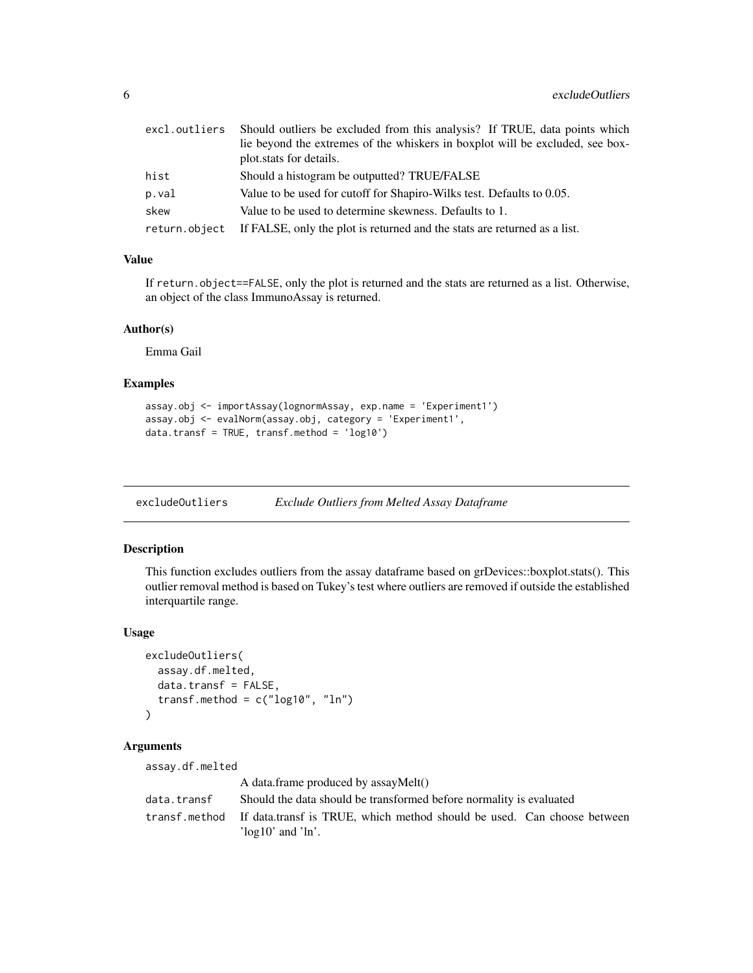<span id="page-5-0"></span>

| excl.outliers | Should outliers be excluded from this analysis? If TRUE, data points which               |
|---------------|------------------------------------------------------------------------------------------|
|               | lie beyond the extremes of the whiskers in boxplot will be excluded, see box-            |
|               | plot stats for details.                                                                  |
| hist          | Should a histogram be outputted? TRUE/FALSE                                              |
| p.val         | Value to be used for cutoff for Shapiro-Wilks test. Defaults to 0.05.                    |
| skew          | Value to be used to determine skewness. Defaults to 1.                                   |
|               | return. object If FALSE, only the plot is returned and the stats are returned as a list. |

#### Value

If return.object==FALSE, only the plot is returned and the stats are returned as a list. Otherwise, an object of the class ImmunoAssay is returned.

#### Author(s)

Emma Gail

#### Examples

```
assay.obj <- importAssay(lognormAssay, exp.name = 'Experiment1')
assay.obj <- evalNorm(assay.obj, category = 'Experiment1',
data.transf = TRUE, transf.method = 'log10')
```
excludeOutliers *Exclude Outliers from Melted Assay Dataframe*

#### Description

This function excludes outliers from the assay dataframe based on grDevices::boxplot.stats(). This outlier removal method is based on Tukey's test where outliers are removed if outside the established interquartile range.

#### Usage

```
excludeOutliers(
  assay.df.melted,
  data.transf = FALSE,
  transf.method = c("log10", "ln"))
```
#### Arguments

assay.df.melted

|             | A data.frame produced by assayMelt()                                                  |  |
|-------------|---------------------------------------------------------------------------------------|--|
| data.transf | Should the data should be transformed before normality is evaluated                   |  |
|             | transf.method If data.transf is TRUE, which method should be used. Can choose between |  |
|             | ' $log10$ ' and ' $ln'$ .                                                             |  |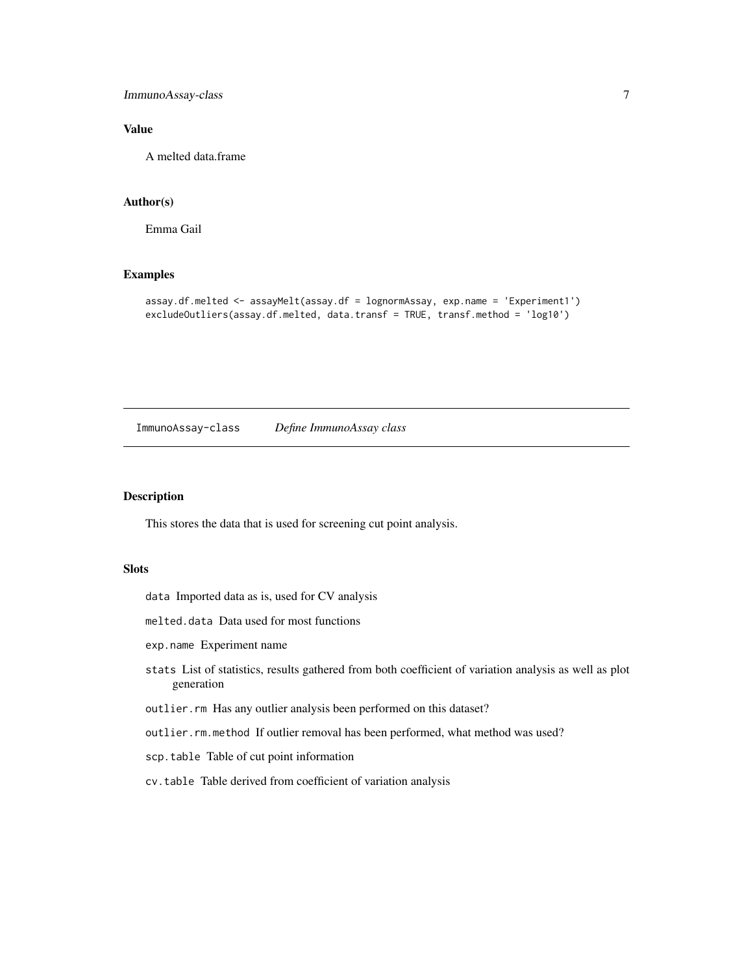<span id="page-6-0"></span>ImmunoAssay-class 7

#### Value

A melted data.frame

#### Author(s)

Emma Gail

#### Examples

```
assay.df.melted <- assayMelt(assay.df = lognormAssay, exp.name = 'Experiment1')
excludeOutliers(assay.df.melted, data.transf = TRUE, transf.method = 'log10')
```
ImmunoAssay-class *Define ImmunoAssay class*

#### Description

This stores the data that is used for screening cut point analysis.

#### Slots

data Imported data as is, used for CV analysis

melted.data Data used for most functions

exp.name Experiment name

- stats List of statistics, results gathered from both coefficient of variation analysis as well as plot generation
- outlier.rm Has any outlier analysis been performed on this dataset?

outlier.rm.method If outlier removal has been performed, what method was used?

scp.table Table of cut point information

cv.table Table derived from coefficient of variation analysis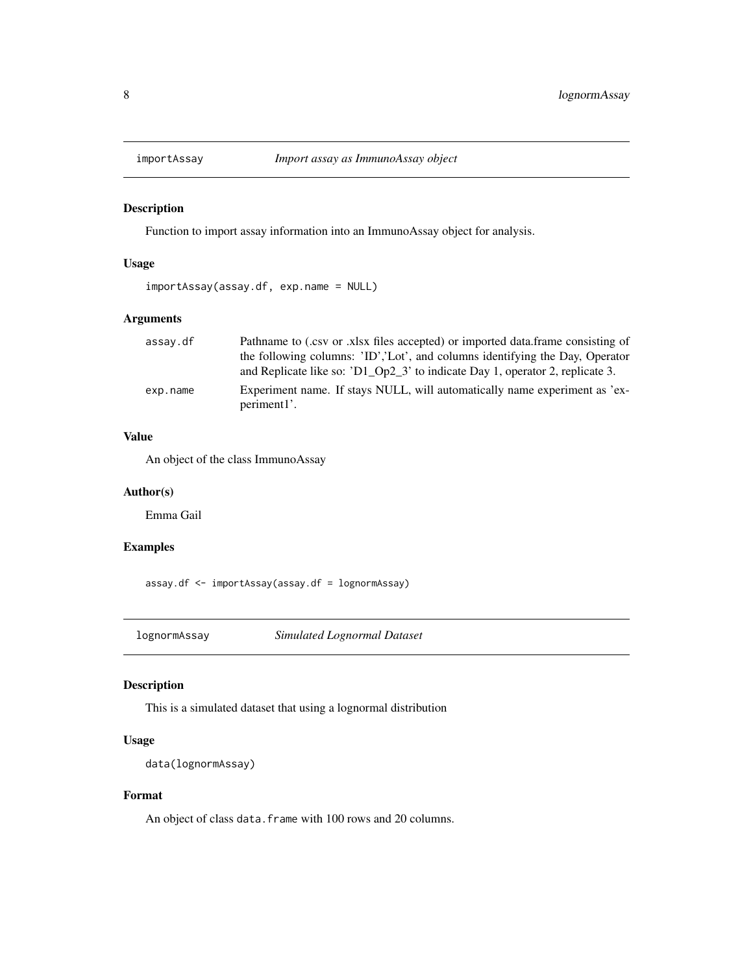<span id="page-7-0"></span>

#### Description

Function to import assay information into an ImmunoAssay object for analysis.

#### Usage

```
importAssay(assay.df, exp.name = NULL)
```
#### Arguments

| assay.df | Pathname to (.csv or .xlsx files accepted) or imported data.frame consisting of |
|----------|---------------------------------------------------------------------------------|
|          | the following columns: 'ID','Lot', and columns identifying the Day, Operator    |
|          | and Replicate like so: 'D1_Op2_3' to indicate Day 1, operator 2, replicate 3.   |
| exp.name | Experiment name. If stays NULL, will automatically name experiment as 'ex-      |
|          | periment1'.                                                                     |

#### Value

An object of the class ImmunoAssay

#### Author(s)

Emma Gail

#### Examples

assay.df <- importAssay(assay.df = lognormAssay)

lognormAssay *Simulated Lognormal Dataset*

#### Description

This is a simulated dataset that using a lognormal distribution

#### Usage

```
data(lognormAssay)
```
#### Format

An object of class data. frame with 100 rows and 20 columns.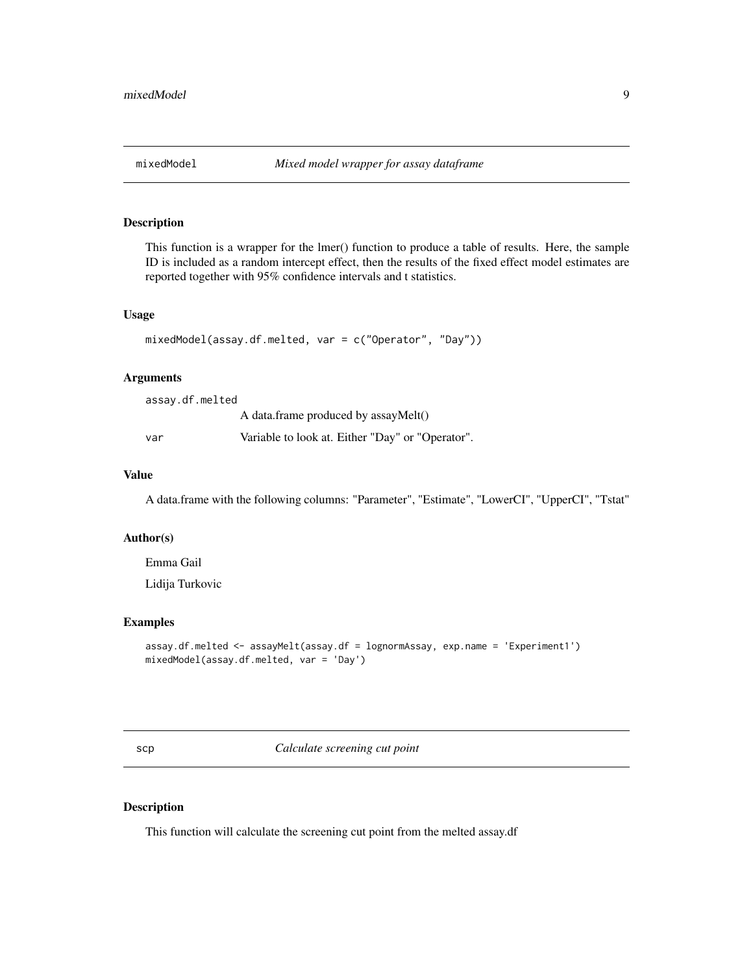<span id="page-8-0"></span>

#### Description

This function is a wrapper for the lmer() function to produce a table of results. Here, the sample ID is included as a random intercept effect, then the results of the fixed effect model estimates are reported together with 95% confidence intervals and t statistics.

#### Usage

```
mixedModel(assay.df.melted, var = c("Operator", "Day"))
```
#### Arguments

assay.df.melted

A data.frame produced by assayMelt()

var Variable to look at. Either "Day" or "Operator".

#### Value

A data.frame with the following columns: "Parameter", "Estimate", "LowerCI", "UpperCI", "Tstat"

#### Author(s)

Emma Gail

Lidija Turkovic

#### Examples

```
assay.df.melted <- assayMelt(assay.df = lognormAssay, exp.name = 'Experiment1')
mixedModel(assay.df.melted, var = 'Day')
```
scp *Calculate screening cut point*

#### Description

This function will calculate the screening cut point from the melted assay.df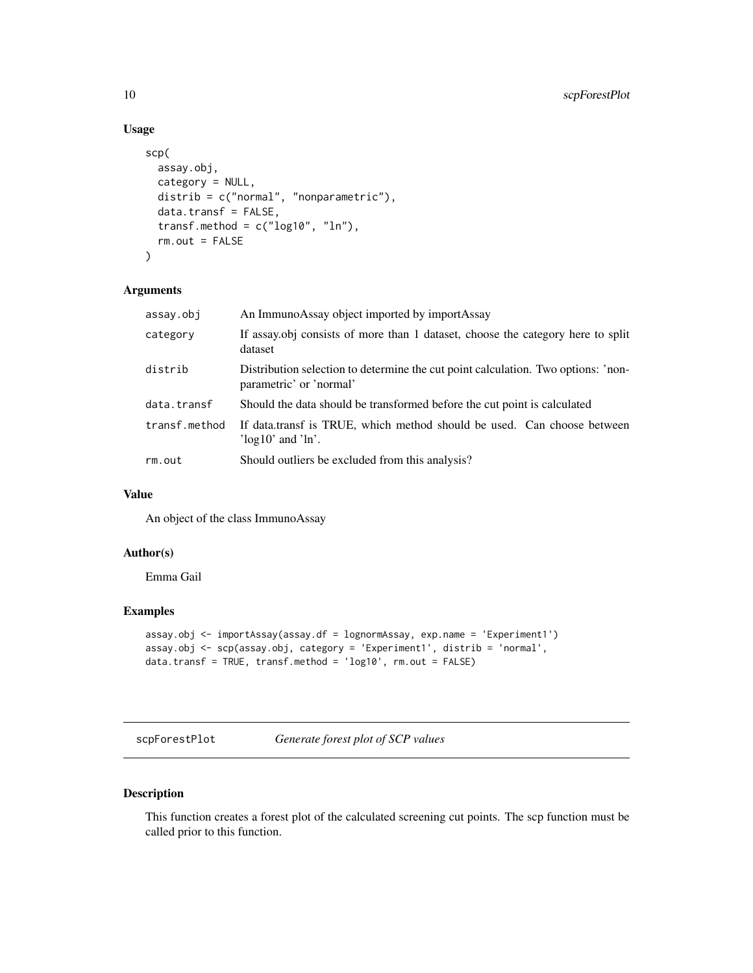## Usage

```
scp(
  assay.obj,
  category = NULL,
 distrib = c("normal", "nonparametric"),
 data.transf = FALSE,
  transf.method = c("log10", "ln"),
  rm.out = FALSE\mathcal{L}
```
#### Arguments

| assay.obj     | An ImmunoAssay object imported by importAssay                                                                |
|---------------|--------------------------------------------------------------------------------------------------------------|
| category      | If assay obj consists of more than 1 dataset, choose the category here to split<br>dataset                   |
| distrib       | Distribution selection to determine the cut point calculation. Two options: 'non-<br>parametric' or 'normal' |
| data.transf   | Should the data should be transformed before the cut point is calculated                                     |
| transf.method | If data.transf is TRUE, which method should be used. Can choose between<br>' $log10$ ' and ' $ln'$ .         |
| rm.out        | Should outliers be excluded from this analysis?                                                              |

## Value

An object of the class ImmunoAssay

#### Author(s)

Emma Gail

#### Examples

```
assay.obj <- importAssay(assay.df = lognormAssay, exp.name = 'Experiment1')
assay.obj <- scp(assay.obj, category = 'Experiment1', distrib = 'normal',
data.transf = TRUE, transf.method = 'log10', rm.out = FALSE)
```
scpForestPlot *Generate forest plot of SCP values*

#### Description

This function creates a forest plot of the calculated screening cut points. The scp function must be called prior to this function.

<span id="page-9-0"></span>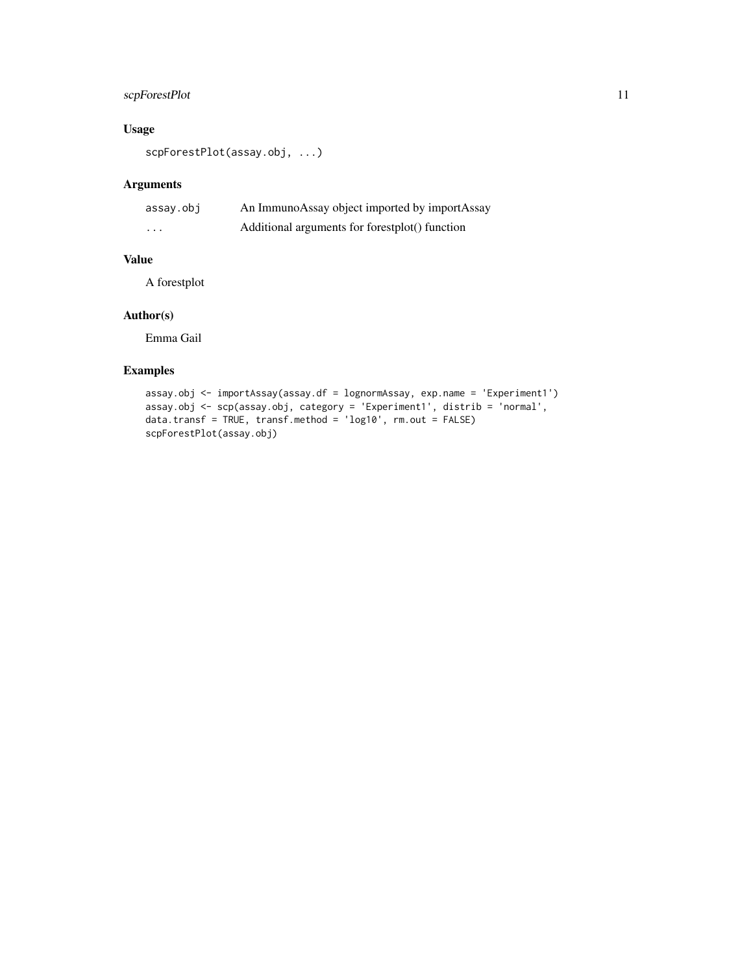## scpForestPlot 11

#### Usage

scpForestPlot(assay.obj, ...)

#### Arguments

| assay.obj | An ImmunoAssay object imported by importAssay  |
|-----------|------------------------------------------------|
| .         | Additional arguments for forestplot() function |

#### Value

A forestplot

#### Author(s)

Emma Gail

#### Examples

```
assay.obj <- importAssay(assay.df = lognormAssay, exp.name = 'Experiment1')
assay.obj <- scp(assay.obj, category = 'Experiment1', distrib = 'normal',
data.transf = TRUE, transf.method = 'log10', rm.out = FALSE)
scpForestPlot(assay.obj)
```